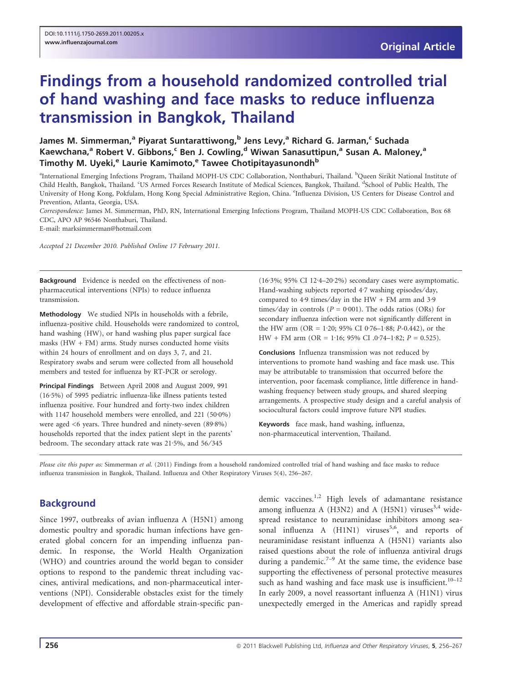# Findings from a household randomized controlled trial of hand washing and face masks to reduce influenza transmission in Bangkok, Thailand

James M. Simmerman,<sup>a</sup> Piyarat Suntarattiwong,<sup>b</sup> Jens Levy,<sup>a</sup> Richard G. Jarman,<sup>c</sup> Suchada Kaewchana,<sup>a</sup> Robert V. Gibbons,<sup>c</sup> Ben J. Cowling,<sup>d</sup> Wiwan Sanasuttipun,<sup>a</sup> Susan A. Maloney,<sup>a</sup> Timothy M. Uyeki,<sup>e</sup> Laurie Kamimoto,<sup>e</sup> Tawee Chotipitayasunondh<sup>b</sup>

<sup>a</sup>International Emerging Infections Program, Thailand MOPH-US CDC Collaboration, Nonthaburi, Thailand. <sup>b</sup>Queen Sirikit National Institute of Child Health, Bangkok, Thailand. <sup>c</sup>US Armed Forces Research Institute of Medical Sciences, Bangkok, Thailand. <sup>d</sup>School of Public Health, The University of Hong Kong, Pokfulam, Hong Kong Special Administrative Region, China. <sup>e</sup>Influenza Division, US Centers for Disease Control and Prevention, Atlanta, Georgia, USA.

Correspondence: James M. Simmerman, PhD, RN, International Emerging Infections Program, Thailand MOPH-US CDC Collaboration, Box 68 CDC, APO AP 96546 Nonthaburi, Thailand.

E-mail: marksimmerman@hotmail.com

Accepted 21 December 2010. Published Online 17 February 2011.

Background Evidence is needed on the effectiveness of nonpharmaceutical interventions (NPIs) to reduce influenza transmission.

Methodology We studied NPIs in households with a febrile, influenza-positive child. Households were randomized to control, hand washing (HW), or hand washing plus paper surgical face masks (HW + FM) arms. Study nurses conducted home visits within 24 hours of enrollment and on days 3, 7, and 21. Respiratory swabs and serum were collected from all household members and tested for influenza by RT-PCR or serology.

Principal Findings Between April 2008 and August 2009, 991  $(16.5%)$  of 5995 pediatric influenza-like illness patients tested influenza positive. Four hundred and forty-two index children with 1147 household members were enrolled, and  $221$  (50 $0\%$ ) were aged  $\leq 6$  years. Three hundred and ninety-seven  $(89.8\%)$ households reported that the index patient slept in the parents' bedroom. The secondary attack rate was 21.5%, and 56/345

(16 $-3\%$ ; 95% CI 12 $-4-20.2\%$ ) secondary cases were asymptomatic. Hand-washing subjects reported 4.7 washing episodes/day, compared to 4.9 times/day in the HW + FM arm and  $3.9$ times/day in controls ( $P = 0.001$ ). The odds ratios (ORs) for secondary influenza infection were not significantly different in the HW arm (OR = 1.20; 95% CI 0.76-1.88; P-0.442), or the HW + FM arm (OR = 1·16; 95% CI .0·74-1·82;  $P = 0.525$ ).

Conclusions Influenza transmission was not reduced by interventions to promote hand washing and face mask use. This may be attributable to transmission that occurred before the intervention, poor facemask compliance, little difference in handwashing frequency between study groups, and shared sleeping arrangements. A prospective study design and a careful analysis of sociocultural factors could improve future NPI studies.

Keywords face mask, hand washing, influenza, non-pharmaceutical intervention, Thailand.

Please cite this paper as: Simmerman et al. (2011) Findings from a household randomized controlled trial of hand washing and face masks to reduce influenza transmission in Bangkok, Thailand. Influenza and Other Respiratory Viruses 5(4), 256–267.

# **Background**

Since 1997, outbreaks of avian influenza A (H5N1) among domestic poultry and sporadic human infections have generated global concern for an impending influenza pandemic. In response, the World Health Organization (WHO) and countries around the world began to consider options to respond to the pandemic threat including vaccines, antiviral medications, and non-pharmaceutical interventions (NPI). Considerable obstacles exist for the timely development of effective and affordable strain-specific pan-

demic vaccines.<sup>1,2</sup> High levels of adamantane resistance among influenza A (H3N2) and A (H5N1) viruses $3,4$  widespread resistance to neuraminidase inhibitors among seasonal influenza A  $(H1N1)$  viruses<sup>5,6</sup>, and reports of neuraminidase resistant influenza A (H5N1) variants also raised questions about the role of influenza antiviral drugs during a pandemic.<sup>7–9</sup> At the same time, the evidence base supporting the effectiveness of personal protective measures such as hand washing and face mask use is insufficient.<sup>10–12</sup> In early 2009, a novel reassortant influenza A (H1N1) virus unexpectedly emerged in the Americas and rapidly spread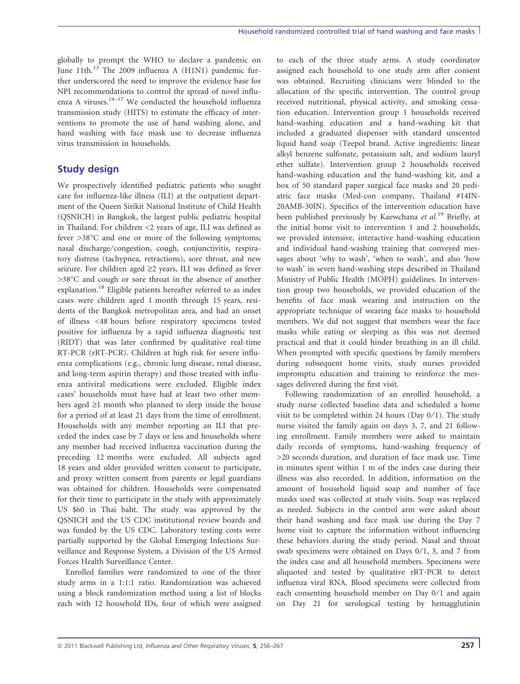globally to prompt the WHO to declare a pandemic on June  $11th.<sup>13</sup>$  The 2009 influenza A (H1N1) pandemic further underscored the need to improve the evidence base for NPI recommendations to control the spread of novel influenza A viruses. $14-17$  We conducted the household influenza transmission study (HITS) to estimate the efficacy of interventions to promote the use of hand washing alone, and hand washing with face mask use to decrease influenza virus transmission in households.

# Study design

We prospectively identified pediatric patients who sought care for influenza-like illness (ILI) at the outpatient department of the Queen Sirikit National Institute of Child Health (QSNICH) in Bangkok, the largest public pediatric hospital in Thailand. For children <2 years of age, ILI was defined as fever >38-C and one or more of the following symptoms; nasal discharge/congestion, cough, conjunctivitis, respiratory distress (tachypnea, retractions), sore throat, and new seizure. For children aged  $\geq$ 2 years, ILI was defined as fever >38°C and cough or sore throat in the absence of another explanation.<sup>18</sup> Eligible patients hereafter referred to as index cases were children aged 1 month through 15 years, residents of the Bangkok metropolitan area, and had an onset of illness <48 hours before respiratory specimens tested positive for influenza by a rapid influenza diagnostic test (RIDT) that was later confirmed by qualitative real-time RT-PCR (rRT-PCR). Children at high risk for severe influenza complications (e.g., chronic lung disease, renal disease, and long-term aspirin therapy) and those treated with influenza antiviral medications were excluded. Eligible index cases' households must have had at least two other members aged  $\geq$ 1 month who planned to sleep inside the house for a period of at least 21 days from the time of enrollment. Households with any member reporting an ILI that preceded the index case by 7 days or less and households where any member had received influenza vaccination during the preceding 12 months were excluded. All subjects aged 18 years and older provided written consent to participate, and proxy written consent from parents or legal guardians was obtained for children. Households were compensated for their time to participate in the study with approximately US \$60 in Thai baht. The study was approved by the QSNICH and the US CDC institutional review boards and was funded by the US CDC. Laboratory testing costs were partially supported by the Global Emerging Infections Surveillance and Response System, a Division of the US Armed Forces Health Surveillance Center.

Enrolled families were randomized to one of the three study arms in a 1:1:1 ratio. Randomization was achieved using a block randomization method using a list of blocks each with 12 household IDs, four of which were assigned to each of the three study arms. A study coordinator assigned each household to one study arm after consent was obtained. Recruiting clinicians were blinded to the allocation of the specific intervention. The control group received nutritional, physical activity, and smoking cessation education. Intervention group 1 households received hand-washing education and a hand-washing kit that included a graduated dispenser with standard unscented liquid hand soap (Teepol brand. Active ingredients: linear alkyl benzene sulfonate, potassium salt, and sodium lauryl ether sulfate). Intervention group 2 households received hand-washing education and the hand-washing kit, and a box of 50 standard paper surgical face masks and 20 pediatric face masks (Med-con company, Thailand #14IN-20AMB-30IN). Specifics of the intervention education have been published previously by Kaewchana et al.<sup>19</sup> Briefly, at the initial home visit to intervention 1 and 2 households, we provided intensive, interactive hand-washing education and individual hand-washing training that conveyed messages about 'why to wash', 'when to wash', and also 'how to wash' in seven hand-washing steps described in Thailand Ministry of Public Health (MOPH) guidelines. In intervention group two households, we provided education of the benefits of face mask wearing and instruction on the appropriate technique of wearing face masks to household members. We did not suggest that members wear the face masks while eating or sleeping as this was not deemed practical and that it could hinder breathing in an ill child. When prompted with specific questions by family members during subsequent home visits, study nurses provided impromptu education and training to reinforce the messages delivered during the first visit.

Following randomization of an enrolled household, a study nurse collected baseline data and scheduled a home visit to be completed within 24 hours (Day  $0/1$ ). The study nurse visited the family again on days 3, 7, and 21 following enrollment. Family members were asked to maintain daily records of symptoms, hand-washing frequency of >20 seconds duration, and duration of face mask use. Time in minutes spent within 1 m of the index case during their illness was also recorded. In addition, information on the amount of household liquid soap and number of face masks used was collected at study visits. Soap was replaced as needed. Subjects in the control arm were asked about their hand washing and face mask use during the Day 7 home visit to capture the information without influencing these behaviors during the study period. Nasal and throat swab specimens were obtained on Days  $0/1$ , 3, and 7 from the index case and all household members. Specimens were aliquoted and tested by qualitative rRT-PCR to detect influenza viral RNA. Blood specimens were collected from each consenting household member on Day  $0/1$  and again on Day 21 for serological testing by hemagglutinin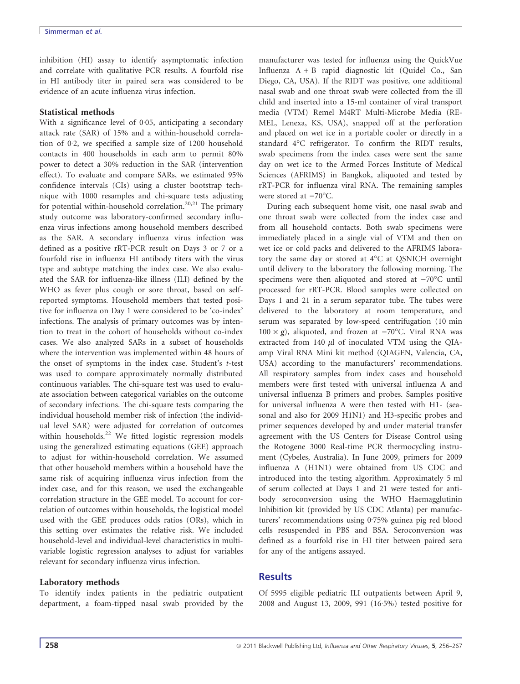inhibition (HI) assay to identify asymptomatic infection and correlate with qualitative PCR results. A fourfold rise in HI antibody titer in paired sera was considered to be evidence of an acute influenza virus infection.

#### Statistical methods

With a significance level of  $0.05$ , anticipating a secondary attack rate (SAR) of 15% and a within-household correlation of  $0.2$ , we specified a sample size of  $1200$  household contacts in 400 households in each arm to permit 80% power to detect a 30% reduction in the SAR (intervention effect). To evaluate and compare SARs, we estimated 95% confidence intervals (CIs) using a cluster bootstrap technique with 1000 resamples and chi-square tests adjusting for potential within-household correlation.<sup>20,21</sup> The primary study outcome was laboratory-confirmed secondary influenza virus infections among household members described as the SAR. A secondary influenza virus infection was defined as a positive rRT-PCR result on Days 3 or 7 or a fourfold rise in influenza HI antibody titers with the virus type and subtype matching the index case. We also evaluated the SAR for influenza-like illness (ILI) defined by the WHO as fever plus cough or sore throat, based on selfreported symptoms. Household members that tested positive for influenza on Day 1 were considered to be 'co-index' infections. The analysis of primary outcomes was by intention to treat in the cohort of households without co-index cases. We also analyzed SARs in a subset of households where the intervention was implemented within 48 hours of the onset of symptoms in the index case. Student's t-test was used to compare approximately normally distributed continuous variables. The chi-square test was used to evaluate association between categorical variables on the outcome of secondary infections. The chi-square tests comparing the individual household member risk of infection (the individual level SAR) were adjusted for correlation of outcomes within households. $22$  We fitted logistic regression models using the generalized estimating equations (GEE) approach to adjust for within-household correlation. We assumed that other household members within a household have the same risk of acquiring influenza virus infection from the index case, and for this reason, we used the exchangeable correlation structure in the GEE model. To account for correlation of outcomes within households, the logistical model used with the GEE produces odds ratios (ORs), which in this setting over estimates the relative risk. We included household-level and individual-level characteristics in multivariable logistic regression analyses to adjust for variables relevant for secondary influenza virus infection.

#### Laboratory methods

To identify index patients in the pediatric outpatient department, a foam-tipped nasal swab provided by the manufacturer was tested for influenza using the QuickVue Influenza  $A + B$  rapid diagnostic kit (Quidel Co., San Diego, CA, USA). If the RIDT was positive, one additional nasal swab and one throat swab were collected from the ill child and inserted into a 15-ml container of viral transport media (VTM) Remel M4RT Multi-Microbe Media (RE-MEL, Lenexa, KS, USA), snapped off at the perforation and placed on wet ice in a portable cooler or directly in a standard 4°C refrigerator. To confirm the RIDT results, swab specimens from the index cases were sent the same day on wet ice to the Armed Forces Institute of Medical Sciences (AFRIMS) in Bangkok, aliquoted and tested by rRT-PCR for influenza viral RNA. The remaining samples were stored at  $-70^{\circ}$ C.

During each subsequent home visit, one nasal swab and one throat swab were collected from the index case and from all household contacts. Both swab specimens were immediately placed in a single vial of VTM and then on wet ice or cold packs and delivered to the AFRIMS laboratory the same day or stored at 4°C at QSNICH overnight until delivery to the laboratory the following morning. The specimens were then aliquoted and stored at  $-70^{\circ}$ C until processed for rRT-PCR. Blood samples were collected on Days 1 and 21 in a serum separator tube. The tubes were delivered to the laboratory at room temperature, and serum was separated by low-speed centrifugation (10 min  $100 \times g$ ), aliquoted, and frozen at -70°C. Viral RNA was extracted from 140  $\mu$ l of inoculated VTM using the QIAamp Viral RNA Mini kit method (QIAGEN, Valencia, CA, USA) according to the manufacturers' recommendations. All respiratory samples from index cases and household members were first tested with universal influenza A and universal influenza B primers and probes. Samples positive for universal influenza A were then tested with H1- (seasonal and also for 2009 H1N1) and H3-specific probes and primer sequences developed by and under material transfer agreement with the US Centers for Disease Control using the Rotogene 3000 Real-time PCR thermocycling instrument (Cybeles, Australia). In June 2009, primers for 2009 influenza A (H1N1) were obtained from US CDC and introduced into the testing algorithm. Approximately 5 ml of serum collected at Days 1 and 21 were tested for antibody seroconversion using the WHO Haemagglutinin Inhibition kit (provided by US CDC Atlanta) per manufacturers' recommendations using 0.75% guinea pig red blood cells resuspended in PBS and BSA. Seroconversion was defined as a fourfold rise in HI titer between paired sera for any of the antigens assayed.

#### Results

Of 5995 eligible pediatric ILI outpatients between April 9, 2008 and August 13, 2009, 991 (16.5%) tested positive for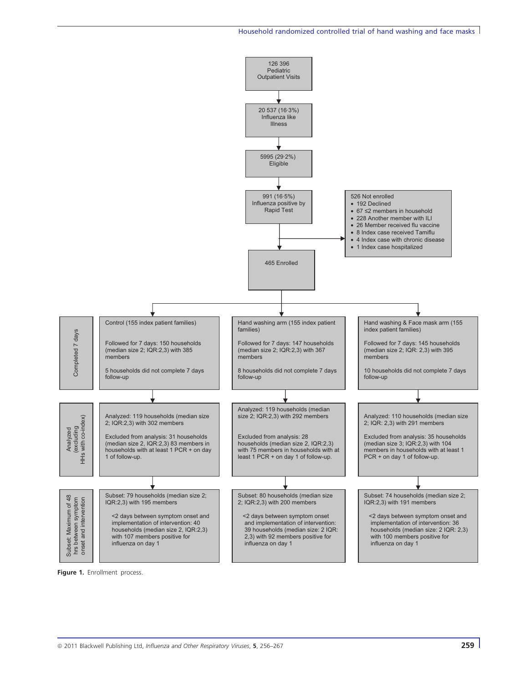Household randomized controlled trial of hand washing and face masks



Figure 1. Enrollment process.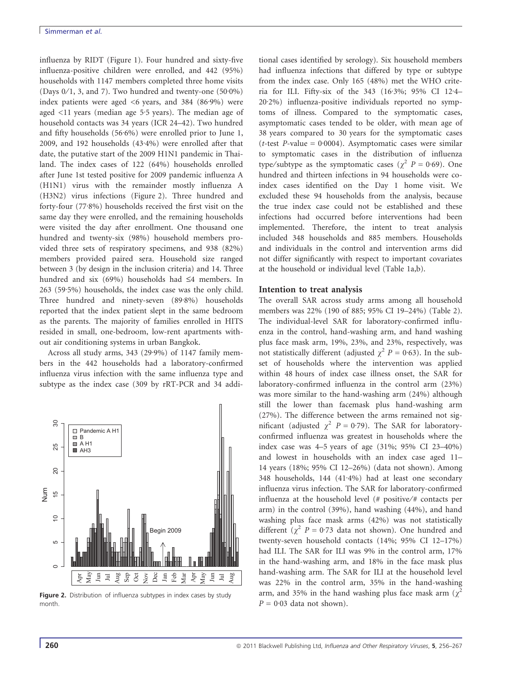influenza by RIDT (Figure 1). Four hundred and sixty-five influenza-positive children were enrolled, and 442 (95%) households with 1147 members completed three home visits (Days  $0/1$ , 3, and 7). Two hundred and twenty-one (50 $0\%$ ) index patients were aged  $\leq 6$  years, and 384 (86.9%) were aged  $\leq$ 11 years (median age 5.5 years). The median age of household contacts was 34 years (ICR 24–42). Two hundred and fifty households  $(56.6%)$  were enrolled prior to June 1, 2009, and 192 households  $(43.4%)$  were enrolled after that date, the putative start of the 2009 H1N1 pandemic in Thailand. The index cases of 122 (64%) households enrolled after June 1st tested positive for 2009 pandemic influenza A (H1N1) virus with the remainder mostly influenza A (H3N2) virus infections (Figure 2). Three hundred and forty-four (77.8%) households received the first visit on the same day they were enrolled, and the remaining households were visited the day after enrollment. One thousand one hundred and twenty-six (98%) household members provided three sets of respiratory specimens, and 938 (82%) members provided paired sera. Household size ranged between 3 (by design in the inclusion criteria) and 14. Three hundred and six (69%) households had  $\leq 4$  members. In  $263$  (59.5%) households, the index case was the only child. Three hundred and ninety-seven (89.8%) households reported that the index patient slept in the same bedroom as the parents. The majority of families enrolled in HITS resided in small, one-bedroom, low-rent apartments without air conditioning systems in urban Bangkok.

Across all study arms,  $343$  (29.9%) of 1147 family members in the 442 households had a laboratory-confirmed influenza virus infection with the same influenza type and subtype as the index case (309 by rRT-PCR and 34 addi-



Figure 2. Distribution of influenza subtypes in index cases by study month.

tional cases identified by serology). Six household members had influenza infections that differed by type or subtype from the index case. Only 165 (48%) met the WHO criteria for ILI. Fifty-six of the 343 (16.3%; 95% CI 12.4- $20.2%$ ) influenza-positive individuals reported no symptoms of illness. Compared to the symptomatic cases, asymptomatic cases tended to be older, with mean age of 38 years compared to 30 years for the symptomatic cases (*t*-test *P*-value =  $0.0004$ ). Asymptomatic cases were similar to symptomatic cases in the distribution of influenza type/subtype as the symptomatic cases ( $\chi^2$  P = 0.69). One hundred and thirteen infections in 94 households were coindex cases identified on the Day 1 home visit. We excluded these 94 households from the analysis, because the true index case could not be established and these infections had occurred before interventions had been implemented. Therefore, the intent to treat analysis included 348 households and 885 members. Households and individuals in the control and intervention arms did not differ significantly with respect to important covariates at the household or individual level (Table 1a,b).

#### Intention to treat analysis

The overall SAR across study arms among all household members was 22% (190 of 885; 95% CI 19–24%) (Table 2). The individual-level SAR for laboratory-confirmed influenza in the control, hand-washing arm, and hand washing plus face mask arm, 19%, 23%, and 23%, respectively, was not statistically different (adjusted  $\chi^2$  P = 0.63). In the subset of households where the intervention was applied within 48 hours of index case illness onset, the SAR for laboratory-confirmed influenza in the control arm (23%) was more similar to the hand-washing arm (24%) although still the lower than facemask plus hand-washing arm (27%). The difference between the arms remained not significant (adjusted  $\gamma^2$  P = 0.79). The SAR for laboratoryconfirmed influenza was greatest in households where the index case was 4–5 years of age (31%; 95% CI 23–40%) and lowest in households with an index case aged 11– 14 years (18%; 95% CI 12–26%) (data not shown). Among 348 households,  $144$   $(41.4\%)$  had at least one secondary influenza virus infection. The SAR for laboratory-confirmed influenza at the household level  $#$  positive/ $#$  contacts per arm) in the control (39%), hand washing (44%), and hand washing plus face mask arms (42%) was not statistically different ( $\chi^2$  P = 0.73 data not shown). One hundred and twenty-seven household contacts (14%; 95% CI 12–17%) had ILI. The SAR for ILI was 9% in the control arm, 17% in the hand-washing arm, and 18% in the face mask plus hand-washing arm. The SAR for ILI at the household level was 22% in the control arm, 35% in the hand-washing arm, and 35% in the hand washing plus face mask arm ( $\gamma^2$ )  $P = 0.03$  data not shown).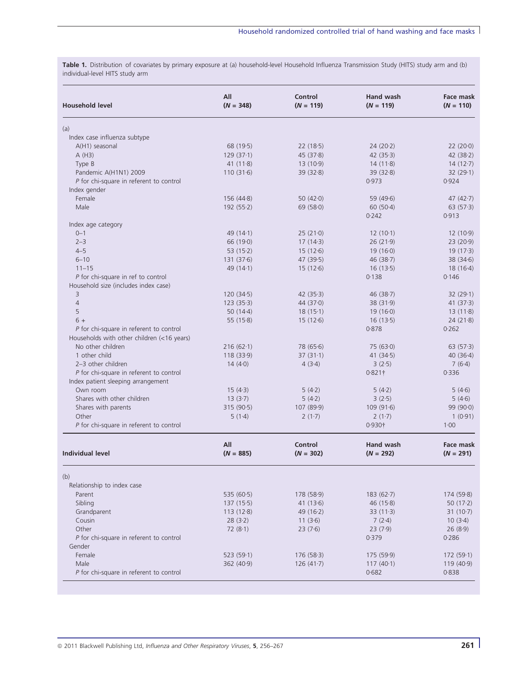Table 1. Distribution of covariates by primary exposure at (a) household-level Household Influenza Transmission Study (HITS) study arm and (b) individual-level HITS study arm

| (a)<br>Index case influenza subtype<br>$A(H1)$ seasonal<br>A(H3)<br>Type B<br>Pandemic A(H1N1) 2009<br>P for chi-square in referent to control<br>Index gender<br>Female<br>Male<br>Index age category<br>$0 - 1$<br>$2 - 3$<br>$4 - 5$<br>$6 - 10$<br>$11 - 15$ | 68(19.5)<br>129(37.1)<br>41 $(11.8)$<br>110(31.6)<br>156(44.8)<br>192(55.2)<br>49 $(14.1)$<br>66(190)<br>53 $(15.2)$<br>131(37.6)<br>49 $(14.1)$ | 22(18.5)<br>45 $(37.8)$<br>13(10.9)<br>39(32.8)<br>50 $(42.0)$<br>69 $(58.0)$<br>25(21.0)<br>$17(14-3)$<br>15(12.6)<br>47 $(39.5)$ | 24(20.2)<br>42(35.3)<br>14(11.8)<br>39(32.8)<br>0.973<br>59 $(49.6)$<br>60(50.4)<br>0.242<br>12(10.1)<br>26(21.9)<br>19(16.0) | 22(20.0)<br>42 $(38.2)$<br>14(12.7)<br>32(29.1)<br>0.924<br>47 $(42.7)$<br>63(57.3)<br>0.913<br>12(10.9)<br>23(20.9) |
|------------------------------------------------------------------------------------------------------------------------------------------------------------------------------------------------------------------------------------------------------------------|--------------------------------------------------------------------------------------------------------------------------------------------------|------------------------------------------------------------------------------------------------------------------------------------|-------------------------------------------------------------------------------------------------------------------------------|----------------------------------------------------------------------------------------------------------------------|
|                                                                                                                                                                                                                                                                  |                                                                                                                                                  |                                                                                                                                    |                                                                                                                               |                                                                                                                      |
|                                                                                                                                                                                                                                                                  |                                                                                                                                                  |                                                                                                                                    |                                                                                                                               |                                                                                                                      |
|                                                                                                                                                                                                                                                                  |                                                                                                                                                  |                                                                                                                                    |                                                                                                                               |                                                                                                                      |
|                                                                                                                                                                                                                                                                  |                                                                                                                                                  |                                                                                                                                    |                                                                                                                               |                                                                                                                      |
|                                                                                                                                                                                                                                                                  |                                                                                                                                                  |                                                                                                                                    |                                                                                                                               |                                                                                                                      |
|                                                                                                                                                                                                                                                                  |                                                                                                                                                  |                                                                                                                                    |                                                                                                                               |                                                                                                                      |
|                                                                                                                                                                                                                                                                  |                                                                                                                                                  |                                                                                                                                    |                                                                                                                               |                                                                                                                      |
|                                                                                                                                                                                                                                                                  |                                                                                                                                                  |                                                                                                                                    |                                                                                                                               |                                                                                                                      |
|                                                                                                                                                                                                                                                                  |                                                                                                                                                  |                                                                                                                                    |                                                                                                                               |                                                                                                                      |
|                                                                                                                                                                                                                                                                  |                                                                                                                                                  |                                                                                                                                    |                                                                                                                               |                                                                                                                      |
|                                                                                                                                                                                                                                                                  |                                                                                                                                                  |                                                                                                                                    |                                                                                                                               |                                                                                                                      |
|                                                                                                                                                                                                                                                                  |                                                                                                                                                  |                                                                                                                                    |                                                                                                                               |                                                                                                                      |
|                                                                                                                                                                                                                                                                  |                                                                                                                                                  |                                                                                                                                    |                                                                                                                               |                                                                                                                      |
|                                                                                                                                                                                                                                                                  |                                                                                                                                                  |                                                                                                                                    |                                                                                                                               | 19(17.3)                                                                                                             |
|                                                                                                                                                                                                                                                                  |                                                                                                                                                  |                                                                                                                                    | 46(38.7)                                                                                                                      | 38(34.6)                                                                                                             |
|                                                                                                                                                                                                                                                                  |                                                                                                                                                  | 15(12.6)                                                                                                                           | 16(13.5)                                                                                                                      | 18(16.4)                                                                                                             |
| P for chi-square in ref to control                                                                                                                                                                                                                               |                                                                                                                                                  |                                                                                                                                    | 0.138                                                                                                                         | 0.146                                                                                                                |
| Household size (includes index case)                                                                                                                                                                                                                             |                                                                                                                                                  |                                                                                                                                    |                                                                                                                               |                                                                                                                      |
| 3                                                                                                                                                                                                                                                                | 120(34.5)                                                                                                                                        | 42 $(35.3)$                                                                                                                        | 46(38.7)                                                                                                                      | 32(29.1)                                                                                                             |
| $\overline{4}$                                                                                                                                                                                                                                                   | 123(35.3)                                                                                                                                        | 44 $(37.0)$                                                                                                                        | 38(31.9)                                                                                                                      | 41 $(37.3)$                                                                                                          |
| 5                                                                                                                                                                                                                                                                | 50 $(14.4)$                                                                                                                                      | 18(15.1)                                                                                                                           | 19(16.0)                                                                                                                      | 13(11.8)                                                                                                             |
| $6+$                                                                                                                                                                                                                                                             | 55(15.8)                                                                                                                                         | 15(12.6)                                                                                                                           | 16(13.5)                                                                                                                      | 24(21.8)                                                                                                             |
| P for chi-square in referent to control                                                                                                                                                                                                                          |                                                                                                                                                  |                                                                                                                                    | 0.878                                                                                                                         | 0.262                                                                                                                |
| Households with other children (<16 years)                                                                                                                                                                                                                       |                                                                                                                                                  |                                                                                                                                    |                                                                                                                               |                                                                                                                      |
| No other children                                                                                                                                                                                                                                                | 216(62.1)                                                                                                                                        | 78(65.6)                                                                                                                           | 75(63.0)                                                                                                                      | 63(57.3)                                                                                                             |
| 1 other child                                                                                                                                                                                                                                                    | 118(33.9)                                                                                                                                        | 37(31.1)                                                                                                                           | 41 $(34.5)$                                                                                                                   | 40 $(36.4)$                                                                                                          |
| 2-3 other children                                                                                                                                                                                                                                               | 14(40)                                                                                                                                           | 4(3.4)                                                                                                                             | 3(2.5)                                                                                                                        | 7(6.4)                                                                                                               |
| P for chi-square in referent to control                                                                                                                                                                                                                          |                                                                                                                                                  |                                                                                                                                    | $0.821$ †                                                                                                                     | 0.336                                                                                                                |
| Index patient sleeping arrangement                                                                                                                                                                                                                               |                                                                                                                                                  |                                                                                                                                    |                                                                                                                               |                                                                                                                      |
| Own room                                                                                                                                                                                                                                                         | 15(4.3)                                                                                                                                          | 5(4.2)                                                                                                                             | 5(4.2)                                                                                                                        | 5(4.6)                                                                                                               |
| Shares with other children                                                                                                                                                                                                                                       | 13(3.7)                                                                                                                                          | 5(4.2)                                                                                                                             | 3(2.5)                                                                                                                        | 5(4.6)                                                                                                               |
| Shares with parents                                                                                                                                                                                                                                              | 315(90.5)                                                                                                                                        | 107(89.9)                                                                                                                          | 109(91.6)                                                                                                                     | 99 $(90.0)$                                                                                                          |
| Other                                                                                                                                                                                                                                                            | 5(1.4)                                                                                                                                           | 2(1.7)                                                                                                                             | 2(1.7)                                                                                                                        | 1(0.91)                                                                                                              |
| P for chi-square in referent to control                                                                                                                                                                                                                          |                                                                                                                                                  |                                                                                                                                    | $0.930 +$                                                                                                                     | 1.00                                                                                                                 |
|                                                                                                                                                                                                                                                                  | All                                                                                                                                              | Control                                                                                                                            | Hand wash                                                                                                                     | <b>Face mask</b>                                                                                                     |
| <b>Individual level</b>                                                                                                                                                                                                                                          | $(N = 885)$                                                                                                                                      | $(N = 302)$                                                                                                                        | $(N = 292)$                                                                                                                   | $(N = 291)$                                                                                                          |
| (b)                                                                                                                                                                                                                                                              |                                                                                                                                                  |                                                                                                                                    |                                                                                                                               |                                                                                                                      |
| Relationship to index case                                                                                                                                                                                                                                       |                                                                                                                                                  |                                                                                                                                    |                                                                                                                               |                                                                                                                      |
| Parent                                                                                                                                                                                                                                                           | 535 $(60.5)$                                                                                                                                     | 178 (58.9)                                                                                                                         | 183(62.7)                                                                                                                     | 174(59.8)                                                                                                            |
| Sibling                                                                                                                                                                                                                                                          | 137(15.5)                                                                                                                                        | 41 $(13.6)$                                                                                                                        | 46(15.8)                                                                                                                      | 50 $(17-2)$                                                                                                          |
| Grandparent                                                                                                                                                                                                                                                      | 113(12.8)                                                                                                                                        | 49 (16-2)                                                                                                                          | 33(11.3)                                                                                                                      | $31(10-7)$                                                                                                           |
| Cousin                                                                                                                                                                                                                                                           | 28(3.2)                                                                                                                                          | 11 $(3.6)$                                                                                                                         | 7(2.4)                                                                                                                        | 10(3.4)                                                                                                              |
| Other                                                                                                                                                                                                                                                            | 72(8.1)                                                                                                                                          | 23(7.6)                                                                                                                            | 23(7.9)                                                                                                                       | 26(8.9)                                                                                                              |
| P for chi-square in referent to control                                                                                                                                                                                                                          |                                                                                                                                                  |                                                                                                                                    | 0.379                                                                                                                         | 0.286                                                                                                                |
| Gender                                                                                                                                                                                                                                                           |                                                                                                                                                  |                                                                                                                                    |                                                                                                                               |                                                                                                                      |
| Female                                                                                                                                                                                                                                                           | 523(59.1)                                                                                                                                        | 176(58.3)                                                                                                                          | 175(59.9)                                                                                                                     | 172(59.1)                                                                                                            |
| Male                                                                                                                                                                                                                                                             | 362 (40.9)                                                                                                                                       | 126(41.7)                                                                                                                          | 117(40.1)                                                                                                                     | 119(40.9)                                                                                                            |
| P for chi-square in referent to control                                                                                                                                                                                                                          |                                                                                                                                                  |                                                                                                                                    | 0.682                                                                                                                         | 0.838                                                                                                                |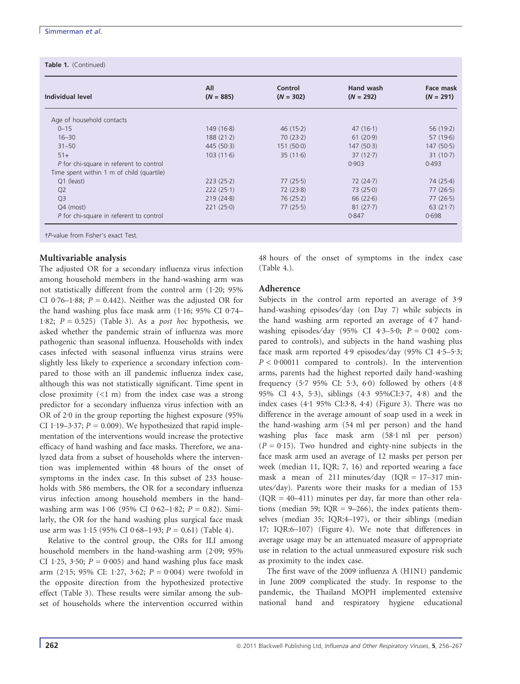### Table 1 (Continued)

| Individual level                          | All<br>$(N = 885)$ | Control<br>$(N = 302)$ | <b>Hand wash</b><br>$(N = 292)$ | Face mask<br>$(N = 291)$ |
|-------------------------------------------|--------------------|------------------------|---------------------------------|--------------------------|
| Age of household contacts                 |                    |                        |                                 |                          |
| $0 - 15$                                  | 149(16.8)          | 46 $(15.2)$            | 47 $(16.1)$                     | 56 $(19.2)$              |
| $16 - 30$                                 | 188(21.2)          | 70(23.2)               | 61(20.9)                        | 57(19.6)                 |
| $31 - 50$                                 | 445(50.3)          | 151(50.0)              | 147(50.3)                       | 147(50.5)                |
| $51+$                                     | 103(11.6)          | 35(11.6)               | 37(12.7)                        | 31(10.7)                 |
| P for chi-square in referent to control   |                    |                        | 0.903                           | 0.493                    |
| Time spent within 1 m of child (quartile) |                    |                        |                                 |                          |
| Q1 (least)                                | 223(25.2)          | 77(25.5)               | 72(24.7)                        | 74(25.4)                 |
| Q <sub>2</sub>                            | 222(25.1)          | 72(23.8)               | 73(25.0)                        | 77(26.5)                 |
| Q <sub>3</sub>                            | 219(24.8)          | 76(25.2)               | 66 $(22.6)$                     | 77(26.5)                 |
| Q4 (most)                                 | 221(25.0)          | 77(25.5)               | $81(27-7)$                      | 63(21.7)                 |
| P for chi-square in referent to control   |                    |                        | 0.847                           | 0.698                    |

-P-value from Fisher's exact Test.

## Multivariable analysis

The adjusted OR for a secondary influenza virus infection among household members in the hand-washing arm was not statistically different from the control arm  $(1.20; 95\%)$ CI 0.76–1.88;  $P = 0.442$ ). Neither was the adjusted OR for the hand washing plus face mask arm  $(1.16; 95\% \text{ CI } 0.74-$ 1.82;  $P = 0.525$ ) (Table 3). As a post hoc hypothesis, we asked whether the pandemic strain of influenza was more pathogenic than seasonal influenza. Households with index cases infected with seasonal influenza virus strains were slightly less likely to experience a secondary infection compared to those with an ill pandemic influenza index case, although this was not statistically significant. Time spent in close proximity  $(< 1 \text{ m})$  from the index case was a strong predictor for a secondary influenza virus infection with an OR of  $2.0$  in the group reporting the highest exposure (95%) CI 1.19–3.37;  $P = 0.009$ ). We hypothesized that rapid implementation of the interventions would increase the protective efficacy of hand washing and face masks. Therefore, we analyzed data from a subset of households where the intervention was implemented within 48 hours of the onset of symptoms in the index case. In this subset of 233 households with 586 members, the OR for a secondary influenza virus infection among household members in the handwashing arm was 1.06 (95% CI 0.62-1.82;  $P = 0.82$ ). Similarly, the OR for the hand washing plus surgical face mask use arm was 1·15 (95% CI 0·68–1·93;  $P = 0.61$ ) (Table 4).

Relative to the control group, the ORs for ILI among household members in the hand-washing arm  $(2.09; 95\%)$ CI 1.25, 3.50;  $P = 0.005$ ) and hand washing plus face mask arm (2.15; 95% CI: 1.27, 3.62;  $P = 0.004$ ) were twofold in the opposite direction from the hypothesized protective effect (Table 3). These results were similar among the subset of households where the intervention occurred within

48 hours of the onset of symptoms in the index case (Table 4.).

#### Adherence

Subjects in the control arm reported an average of 3.9 hand-washing episodes⁄ day (on Day 7) while subjects in the hand washing arm reported an average of  $4.7$  handwashing episodes/day (95% CI 4.3-5.0;  $P = 0.002$  compared to controls), and subjects in the hand washing plus face mask arm reported 4.9 episodes/day (95% CI 4.5-5.3;  $P < 0.00011$  compared to controls). In the intervention arms, parents had the highest reported daily hand-washing frequency (5.7 95% CI: 5.3, 6.0) followed by others  $(4.8$ 95% CI 4.3, 5.3), siblings (4.3 95%CI:3.7, 4.8) and the index cases  $(4.1 95\% \text{ CI:}3.8, 4.4)$  (Figure 3). There was no difference in the average amount of soap used in a week in the hand-washing arm (54 ml per person) and the hand washing plus face mask arm  $(58.1 \text{ ml per person})$  $(P = 0.15)$ . Two hundred and eighty-nine subjects in the face mask arm used an average of 12 masks per person per week (median 11, IQR; 7, 16) and reported wearing a face mask a mean of 211 minutes⁄ day (IQR = 17–317 minutes⁄ day). Parents wore their masks for a median of 153  $( IQR = 40-411)$  minutes per day, far more than other relations (median 59;  $IQR = 9-266$ ), the index patients themselves (median 35; IQR:4–197), or their siblings (median 17; IQR:6–107) (Figure 4). We note that differences in average usage may be an attenuated measure of appropriate use in relation to the actual unmeasured exposure risk such as proximity to the index case.

The first wave of the 2009 influenza A (H1N1) pandemic in June 2009 complicated the study. In response to the pandemic, the Thailand MOPH implemented extensive national hand and respiratory hygiene educational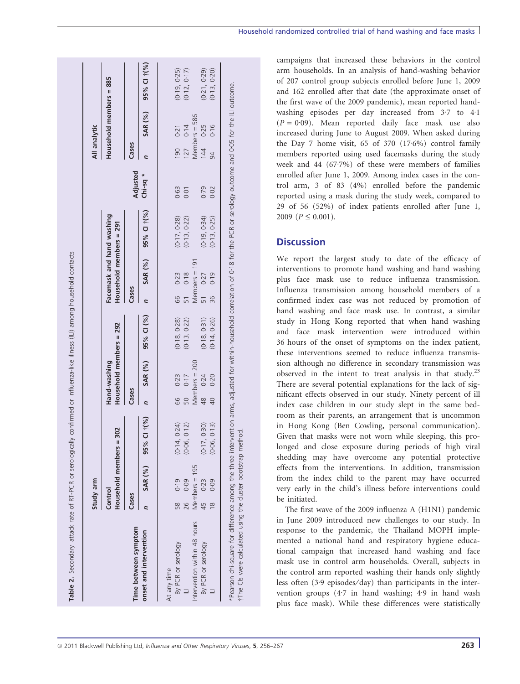|                                                                                                                                                                                                                                                      |       | Study arm                          |              |                |                                         |              |                |                         |                           |          |                 | All analytic            |              |
|------------------------------------------------------------------------------------------------------------------------------------------------------------------------------------------------------------------------------------------------------|-------|------------------------------------|--------------|----------------|-----------------------------------------|--------------|----------------|-------------------------|---------------------------|----------|-----------------|-------------------------|--------------|
|                                                                                                                                                                                                                                                      |       | Household members = 302<br>Control |              |                | Household members = 292<br>Hand-washing |              |                | Household members = 291 | Facemask and hand washing |          |                 | Household members = 885 |              |
| Time between symptom                                                                                                                                                                                                                                 | Cases |                                    |              | Cases          |                                         |              | Cases          |                         |                           | Adjusted | Cases           |                         |              |
| onset and intervention                                                                                                                                                                                                                               |       | <b>SAR (%)</b>                     | 95% CI +(%)  | $\overline{a}$ | <b>SAR (%)</b>                          | 95% CI (%)   | $\overline{a}$ | <b>SAR (%)</b>          | 95% CI +(%)               | Chi-sq * | C               | <b>SAR (%)</b>          | 95% CI +(%)  |
| At any time                                                                                                                                                                                                                                          |       |                                    |              |                |                                         |              |                |                         |                           |          |                 |                         |              |
| By PCR or serology                                                                                                                                                                                                                                   | 58    | 0.19                               | (0.14, 0.24) | 66             | 0.23                                    | (0.18, 0.28) | 66             | 0.23                    | (0.17, 0.28)              | 0.63     | 190             | 0.21                    | (0.19, 0.25) |
|                                                                                                                                                                                                                                                      | 26    | 0.09                               | (0.06, 0.12) | 50             | 0.17                                    | (0.13, 0.22) | 51             | 0.18                    | (0.13, 0.22)              | 0.01     | 127             | 0.14                    | (0.12, 0.17) |
| Intervention within 48 hours                                                                                                                                                                                                                         |       | Members $= 195$                    |              |                | Members $= 200$                         |              |                | Members $= 191$         |                           |          |                 | Members = 586           |              |
| By PCR or serology                                                                                                                                                                                                                                   |       | 45 0.23                            | (0.17, 0.30) | 48             | 0.24                                    | (0.18, 0.31) | 51             | 0.27                    | (0.19, 0.34)              | 0.79     | $\frac{144}{1}$ | 0.25                    | (0.21, 0.29) |
|                                                                                                                                                                                                                                                      |       | 0.09                               | (0.06, 0.13) | 40             | 0.20                                    | (0.14, 0.26) | 36             | 0.19                    | (0.13, 0.25)              | $0 - 02$ | 94              | 0.16                    | (0.13, 0.20) |
| *Pearson chi-square for difference among the three intervention arms, adjusted for within-household correlation of 0-18 for the PCR or serology outcome and 0-05 for the ILI outcome.<br>+The CIs were calculated using the cluster bootstrap method |       |                                    |              |                |                                         |              |                |                         |                           |          |                 |                         |              |

campaigns that increased these behaviors in the control arm households. In an analysis of hand-washing behavior of 207 control group subjects enrolled before June 1, 2009 and 162 enrolled after that date (the approximate onset of the first wave of the 2009 pandemic), mean reported handwashing episodes per day increased from  $3.7$  to  $4.1$  $(P = 0.09)$ . Mean reported daily face mask use also increased during June to August 2009. When asked during the Day 7 home visit,  $65$  of  $370$   $(17.6%)$  control family members reported using used facemasks during the study week and 44  $(67.7%)$  of these were members of families enrolled after June 1, 2009. Among index cases in the control arm, 3 of 83 (4%) enrolled before the pandemic reported using a mask during the study week, compared to 29 of 56 (52%) of index patients enrolled after June 1, 2009 ( $P \le 0.001$ ).

## **Discussion**

We report the largest study to date of the efficacy of interventions to promote hand washing and hand washing plus face mask use to reduce influenza transmission. Influenza transmission among household members of a confirmed index case was not reduced by promotion of hand washing and face mask use. In contrast, a similar study in Hong Kong reported that when hand washing and face mask intervention were introduced within 36 hours of the onset of symptoms on the index patient, these interventions seemed to reduce influenza transmission although no difference in secondary transmission was observed in the intent to treat analysis in that study.<sup>23</sup> There are several potential explanations for the lack of significant effects observed in our study. Ninety percent of ill index case children in our study slept in the same bedroom as their parents, an arrangement that is uncommon in Hong Kong (Ben Cowling, personal communication). Given that masks were not worn while sleeping, this prolonged and close exposure during periods of high viral shedding may have overcome any potential protective effects from the interventions. In addition, transmission from the index child to the parent may have occurred very early in the child's illness before interventions could be initiated.

The first wave of the 2009 influenza A (H1N1) pandemic in June 2009 introduced new challenges to our study. In response to the pandemic, the Thailand MOPH implemented a national hand and respiratory hygiene educational campaign that increased hand washing and face mask use in control arm households. Overall, subjects in the control arm reported washing their hands only slightly less often (3.9 episodes/day) than participants in the intervention groups  $(4.7 \text{ in hand washing}; 4.9 \text{ in hand wash})$ plus face mask). While these differences were statistically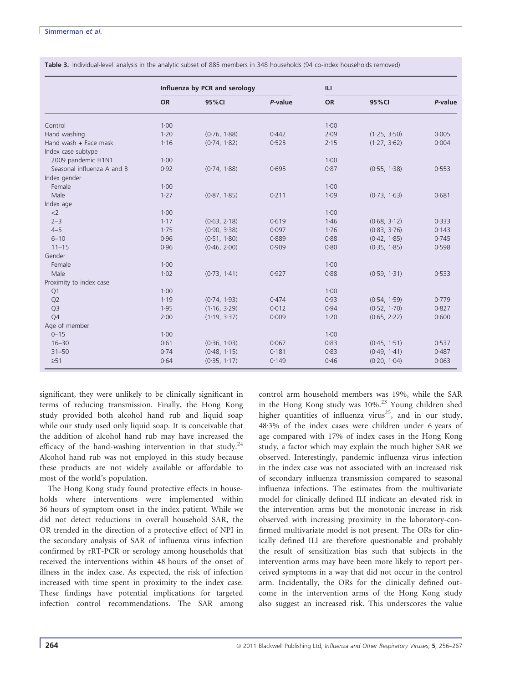#### Simmerman et al.

|                            |           | Influenza by PCR and serology |         |           | ILI.         |         |  |
|----------------------------|-----------|-------------------------------|---------|-----------|--------------|---------|--|
|                            | <b>OR</b> | 95%CI                         | P-value | <b>OR</b> | 95%CI        | P-value |  |
| Control                    | 1.00      |                               |         | 1.00      |              |         |  |
| Hand washing               | 1.20      | (0.76, 1.88)                  | 0.442   | 2.09      | (1.25, 3.50) | 0.005   |  |
| Hand wash + Face mask      | 1.16      | (0.74, 1.82)                  | 0.525   | 2.15      | (1.27, 3.62) | 0.004   |  |
| Index case subtype         |           |                               |         |           |              |         |  |
| 2009 pandemic H1N1         | 1.00      |                               |         | 1.00      |              |         |  |
| Seasonal influenza A and B | 0.92      | (0.74, 1.88)                  | 0.695   | 0.87      | (0.55, 1.38) | 0.553   |  |
| Index gender               |           |                               |         |           |              |         |  |
| Female                     | 1.00      |                               |         | 1.00      |              |         |  |
| Male                       | 1.27      | (0.87, 1.85)                  | 0.211   | 1.09      | (0.73, 1.63) | 0.681   |  |
| Index age                  |           |                               |         |           |              |         |  |
| $<$ 2                      | 1.00      |                               |         | 1.00      |              |         |  |
| $2 - 3$                    | 1.17      | (0.63, 2.18)                  | 0.619   | 1.46      | (0.68, 3.12) | 0.333   |  |
| $4 - 5$                    | 1.75      | (0.90, 3.38)                  | 0.097   | 1.76      | (0.83, 3.76) | 0.143   |  |
| $6 - 10$                   | 0.96      | (0.51, 1.80)                  | 0.889   | 0.88      | (0.42, 1.85) | 0.745   |  |
| $11 - 15$                  | 0.96      | (0.46, 2.00)                  | 0.909   | 0.80      | (0.35, 1.85) | 0.598   |  |
| Gender                     |           |                               |         |           |              |         |  |
| Female                     | 1.00      |                               |         | 1.00      |              |         |  |
| Male                       | 1.02      | (0.73, 1.41)                  | 0.927   | 0.88      | (0.59, 1.31) | 0.533   |  |
| Proximity to index case    |           |                               |         |           |              |         |  |
| Q <sub>1</sub>             | 1.00      |                               |         | 1.00      |              |         |  |
| Q <sub>2</sub>             | 1.19      | (0.74, 1.93)                  | 0.474   | 0.93      | (0.54, 1.59) | 0.779   |  |
| Q <sub>3</sub>             | 1.95      | (1.16, 3.29)                  | 0.012   | 0.94      | (0.52, 1.70) | 0.827   |  |
| Q4                         | 2.00      | (1.19, 3.37)                  | 0.009   | 1.20      | (0.65, 2.22) | 0.600   |  |
| Age of member              |           |                               |         |           |              |         |  |
| $0 - 15$                   | 1.00      |                               |         | 1.00      |              |         |  |
| $16 - 30$                  | 0.61      | (0.36, 1.03)                  | 0.067   | 0.83      | (0.45, 1.51) | 0.537   |  |
| $31 - 50$                  | 0.74      | (0.48, 1.15)                  | 0.181   | 0.83      | (0.49, 1.41) | 0.487   |  |
| $\geq 51$                  | 0.64      | (0.35, 1.17)                  | 0.149   | 0.46      | (0.20, 1.04) | 0.063   |  |

Table 3. Individual-level analysis in the analytic subset of 885 members in 348 households (94 co-index households removed)

significant, they were unlikely to be clinically significant in terms of reducing transmission. Finally, the Hong Kong study provided both alcohol hand rub and liquid soap while our study used only liquid soap. It is conceivable that the addition of alcohol hand rub may have increased the efficacy of the hand-washing intervention in that study.<sup>24</sup> Alcohol hand rub was not employed in this study because these products are not widely available or affordable to most of the world's population.

The Hong Kong study found protective effects in households where interventions were implemented within 36 hours of symptom onset in the index patient. While we did not detect reductions in overall household SAR, the OR trended in the direction of a protective effect of NPI in the secondary analysis of SAR of influenza virus infection confirmed by rRT-PCR or serology among households that received the interventions within 48 hours of the onset of illness in the index case. As expected, the risk of infection increased with time spent in proximity to the index case. These findings have potential implications for targeted infection control recommendations. The SAR among

control arm household members was 19%, while the SAR in the Hong Kong study was 10%.<sup>23</sup> Young children shed higher quantities of influenza virus<sup>25</sup>, and in our study, 48.3% of the index cases were children under 6 years of age compared with 17% of index cases in the Hong Kong study, a factor which may explain the much higher SAR we observed. Interestingly, pandemic influenza virus infection in the index case was not associated with an increased risk of secondary influenza transmission compared to seasonal influenza infections. The estimates from the multivariate model for clinically defined ILI indicate an elevated risk in the intervention arms but the monotonic increase in risk observed with increasing proximity in the laboratory-confirmed multivariate model is not present. The ORs for clinically defined ILI are therefore questionable and probably the result of sensitization bias such that subjects in the intervention arms may have been more likely to report perceived symptoms in a way that did not occur in the control arm. Incidentally, the ORs for the clinically defined outcome in the intervention arms of the Hong Kong study also suggest an increased risk. This underscores the value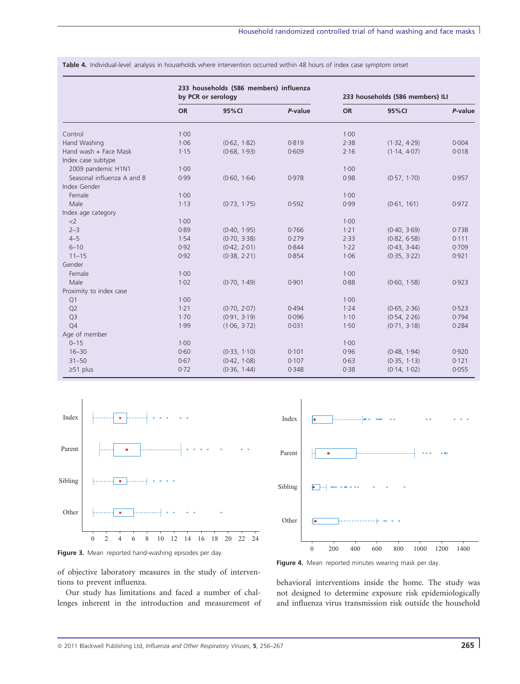Table 4. Individual-level analysis in households where intervention occurred within 48 hours of index case symptom onset

|                            |           | 233 households (586 members) influenza<br>by PCR or serology |         | 233 households (586 members) ILI |              |         |
|----------------------------|-----------|--------------------------------------------------------------|---------|----------------------------------|--------------|---------|
|                            | <b>OR</b> | 95%CI                                                        | P-value | <b>OR</b>                        | 95%CI        | P-value |
| Control                    | 1.00      |                                                              |         | 1.00                             |              |         |
| Hand Washing               | 1.06      | (0.62, 1.82)                                                 | 0.819   | 2.38                             | (1.32, 4.29) | 0.004   |
| Hand wash + Face Mask      | 1.15      | (0.68, 1.93)                                                 | 0.609   | 2.16                             | (1.14, 4.07) | 0.018   |
| Index case subtype         |           |                                                              |         |                                  |              |         |
| 2009 pandemic H1N1         | 1.00      |                                                              |         | 1.00                             |              |         |
| Seasonal influenza A and B | 0.99      | (0.60, 1.64)                                                 | 0.978   | 0.98                             | (0.57, 1.70) | 0.957   |
| Index Gender               |           |                                                              |         |                                  |              |         |
| Female                     | 1.00      |                                                              |         | 1.00                             |              |         |
| Male                       | 1.13      | (0.73, 1.75)                                                 | 0.592   | 0.99                             | (0.61, 161)  | 0.972   |
| Index age category         |           |                                                              |         |                                  |              |         |
| $<$ 2                      | 1.00      |                                                              |         | 1.00                             |              |         |
| $2 - 3$                    | 0.89      | (0.40, 1.95)                                                 | 0.766   | 1.21                             | (0.40, 3.69) | 0.738   |
| $4 - 5$                    | 1.54      | (0.70, 3.38)                                                 | 0.279   | 2.33                             | (0.82, 6.58) | 0.111   |
| $6 - 10$                   | 0.92      | (0.42, 2.01)                                                 | 0.844   | 1.22                             | (0.43, 3.44) | 0.709   |
| $11 - 15$                  | 0.92      | (0.38, 2.21)                                                 | 0.854   | 1.06                             | (0.35, 3.22) | 0.921   |
| Gender                     |           |                                                              |         |                                  |              |         |
| Female                     | 1.00      |                                                              |         | 1.00                             |              |         |
| Male                       | 1.02      | (0.70, 1.49)                                                 | 0.901   | 0.88                             | (0.60, 1.58) | 0.923   |
| Proximity to index case    |           |                                                              |         |                                  |              |         |
| Q <sub>1</sub>             | 1.00      |                                                              |         | 1.00                             |              |         |
| Q <sub>2</sub>             | 1.21      | (0.70, 2.07)                                                 | 0.494   | 1.24                             | (0.65, 2.36) | 0.523   |
| Q <sub>3</sub>             | $1 - 70$  | (0.91, 3.19)                                                 | 0.096   | 1.10                             | (0.54, 2.26) | 0.794   |
| Q4                         | 1.99      | (1.06, 3.72)                                                 | 0.031   | 1.50                             | (0.71, 3.18) | 0.284   |
| Age of member              |           |                                                              |         |                                  |              |         |
| $0 - 15$                   | 1.00      |                                                              |         | 1.00                             |              |         |
| $16 - 30$                  | 0.60      | (0.33, 1.10)                                                 | 0.101   | 0.96                             | (0.48, 1.94) | 0.920   |
| $31 - 50$                  | 0.67      | (0.42, 1.08)                                                 | 0.107   | 0.63                             | (0.35, 1.13) | 0.121   |
| $\geq 51$ plus             | 0.72      | (0.36, 1.44)                                                 | 0.348   | 0.38                             | (0.14, 1.02) | 0.055   |





Figure 3. Mean reported hand-washing episodes per day.

of objective laboratory measures in the study of interventions to prevent influenza.

Our study has limitations and faced a number of challenges inherent in the introduction and measurement of Figure 4. Mean reported minutes wearing mask per day.

behavioral interventions inside the home. The study was not designed to determine exposure risk epidemiologically and influenza virus transmission risk outside the household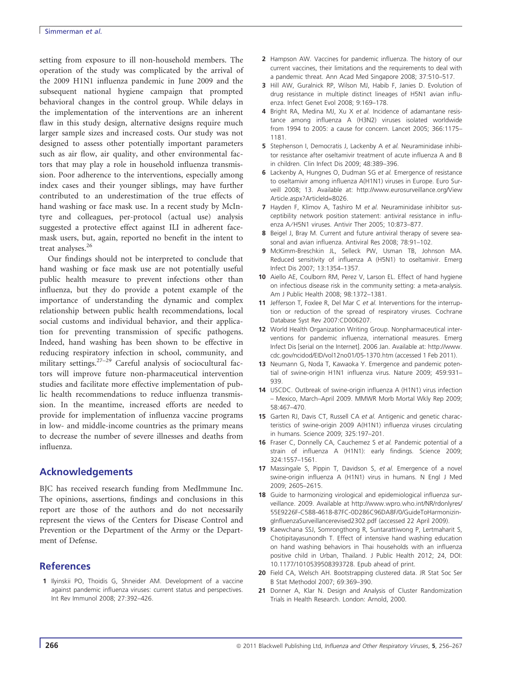setting from exposure to ill non-household members. The operation of the study was complicated by the arrival of the 2009 H1N1 influenza pandemic in June 2009 and the subsequent national hygiene campaign that prompted behavioral changes in the control group. While delays in the implementation of the interventions are an inherent flaw in this study design, alternative designs require much larger sample sizes and increased costs. Our study was not designed to assess other potentially important parameters such as air flow, air quality, and other environmental factors that may play a role in household influenza transmission. Poor adherence to the interventions, especially among index cases and their younger siblings, may have further contributed to an underestimation of the true effects of hand washing or face mask use. In a recent study by McIntyre and colleagues, per-protocol (actual use) analysis suggested a protective effect against ILI in adherent facemask users, but, again, reported no benefit in the intent to treat analyses.<sup>26</sup>

Our findings should not be interpreted to conclude that hand washing or face mask use are not potentially useful public health measure to prevent infections other than influenza, but they do provide a potent example of the importance of understanding the dynamic and complex relationship between public health recommendations, local social customs and individual behavior, and their application for preventing transmission of specific pathogens. Indeed, hand washing has been shown to be effective in reducing respiratory infection in school, community, and military settings.<sup>27–29</sup> Careful analysis of sociocultural factors will improve future non-pharmaceutical intervention studies and facilitate more effective implementation of public health recommendations to reduce influenza transmission. In the meantime, increased efforts are needed to provide for implementation of influenza vaccine programs in low- and middle-income countries as the primary means to decrease the number of severe illnesses and deaths from influenza.

## Acknowledgements

BJC has received research funding from MedImmune Inc. The opinions, assertions, findings and conclusions in this report are those of the authors and do not necessarily represent the views of the Centers for Disease Control and Prevention or the Department of the Army or the Department of Defense.

# **References**

1 Ilyinskii PO, Thoidis G, Shneider AM. Development of a vaccine against pandemic influenza viruses: current status and perspectives. Int Rev Immunol 2008; 27:392–426.

- 2 Hampson AW. Vaccines for pandemic influenza. The history of our current vaccines, their limitations and the requirements to deal with a pandemic threat. Ann Acad Med Singapore 2008; 37:510–517.
- 3 Hill AW, Guralnick RP, Wilson MJ, Habib F, Janies D. Evolution of drug resistance in multiple distinct lineages of H5N1 avian influenza. Infect Genet Evol 2008; 9:169–178.
- 4 Bright RA, Medina MJ, Xu X et al. Incidence of adamantane resistance among influenza A (H3N2) viruses isolated worldwide from 1994 to 2005: a cause for concern. Lancet 2005; 366:1175– 1181.
- 5 Stephenson I, Democratis J, Lackenby A et al. Neuraminidase inhibitor resistance after oseltamivir treatment of acute influenza A and B in children. Clin Infect Dis 2009; 48:389–396.
- 6 Lackenby A, Hungnes O, Dudman SG et al. Emergence of resistance to oseltamivir among influenza A(H1N1) viruses in Europe. Euro Surveill 2008; 13. Available at: http://www.eurosurveillance.org/View Article.aspx?ArticleId=8026.
- 7 Hayden F, Klimov A, Tashiro M et al. Neuraminidase inhibitor susceptibility network position statement: antiviral resistance in influenza A/H5N1 viruses. Antivir Ther 2005; 10:873-877.
- 8 Beigel J, Bray M. Current and future antiviral therapy of severe seasonal and avian influenza. Antiviral Res 2008; 78:91–102.
- 9 McKimm-Breschkin JL, Selleck PW, Usman TB, Johnson MA. Reduced sensitivity of influenza A (H5N1) to oseltamivir. Emerg Infect Dis 2007; 13:1354–1357.
- 10 Aiello AE, Coulborn RM, Perez V, Larson EL. Effect of hand hygiene on infectious disease risk in the community setting: a meta-analysis. Am J Public Health 2008; 98:1372–1381.
- 11 Jefferson T, Foxlee R, Del Mar C et al. Interventions for the interruption or reduction of the spread of respiratory viruses. Cochrane Database Syst Rev 2007:CD006207.
- 12 World Health Organization Writing Group. Nonpharmaceutical interventions for pandemic influenza, international measures. Emerg Infect Dis [serial on the Internet]. 2006 Jan. Available at: http://www. cdc.gov/ncidod/EID/vol12no01/05-1370.htm (accessed 1 Feb 2011).
- 13 Neumann G, Noda T, Kawaoka Y. Emergence and pandemic potential of swine-origin H1N1 influenza virus. Nature 2009; 459:931– 939.
- 14 USCDC. Outbreak of swine-origin influenza A (H1N1) virus infection – Mexico, March–April 2009. MMWR Morb Mortal Wkly Rep 2009; 58:467–470.
- 15 Garten RJ, Davis CT, Russell CA et al. Antigenic and genetic characteristics of swine-origin 2009 A(H1N1) influenza viruses circulating in humans. Science 2009; 325:197–201.
- 16 Fraser C, Donnelly CA, Cauchemez S et al. Pandemic potential of a strain of influenza A (H1N1): early findings. Science 2009; 324:1557–1561.
- 17 Massingale S, Pippin T, Davidson S, et al. Emergence of a novel swine-origin influenza A (H1N1) virus in humans. N Engl J Med 2009; 2605–2615.
- 18 Guide to harmonizing virological and epidemiological influenza surveillance. 2009. Available at http://www.wpro.who.int/NR/rdonlyres/ 55E9226F-C588-4618-87FC-0D286C96DA8F/0/GuideToHarmonizingInfluenzaSurveillancerevised2302.pdf (accessed 22 April 2009).
- 19 Kaewchana SSJ, Somrongthong R, Suntarattiwong P, Lertmaharit S, Chotipitayasunondh T. Effect of intensive hand washing education on hand washing behaviors in Thai households with an influenza positive child in Urban, Thailand. J Public Health 2012; 24, DOI: 10.1177/1010539508393728. Epub ahead of print.
- 20 Field CA, Welsch AH. Bootstrapping clustered data. JR Stat Soc Ser B Stat Methodol 2007; 69:369–390.
- 21 Donner A, Klar N. Design and Analysis of Cluster Randomization Trials in Health Research. London: Arnold, 2000.